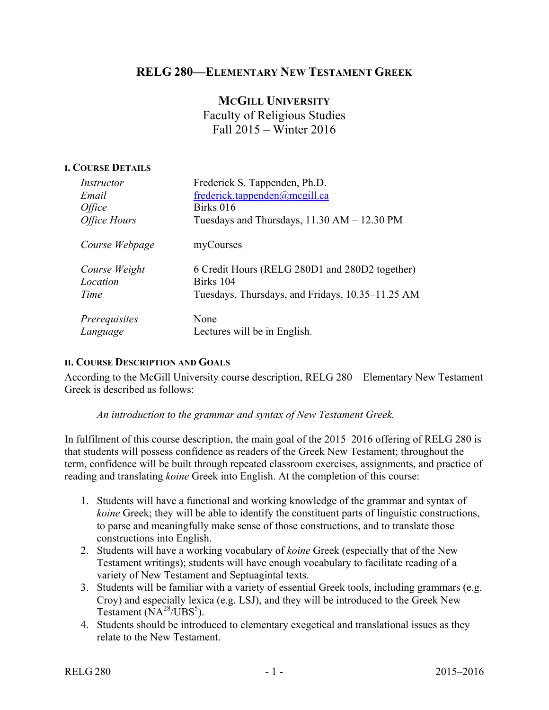## **RELG 280—ELEMENTARY NEW TESTAMENT GREEK**

# **MCGILL UNIVERSITY** Faculty of Religious Studies Fall 2015 – Winter 2016

#### **I. COURSE DETAILS**

| Instructor          | Frederick S. Tappenden, Ph.D.                    |
|---------------------|--------------------------------------------------|
| Email               | frederick.tappenden@mcgill.ca                    |
| <i>Office</i>       | Birks 016                                        |
| <b>Office Hours</b> | Tuesdays and Thursdays, $11.30$ AM $- 12.30$ PM  |
| Course Webpage      | myCourses                                        |
| Course Weight       | 6 Credit Hours (RELG 280D1 and 280D2 together)   |
| Location            | Birks 104                                        |
| Time                | Tuesdays, Thursdays, and Fridays, 10.35–11.25 AM |
| Prerequisites       | None                                             |
| Language            | Lectures will be in English.                     |

#### **II. COURSE DESCRIPTION AND GOALS**

According to the McGill University course description, RELG 280—Elementary New Testament Greek is described as follows:

#### *An introduction to the grammar and syntax of New Testament Greek.*

In fulfilment of this course description, the main goal of the 2015–2016 offering of RELG 280 is that students will possess confidence as readers of the Greek New Testament; throughout the term, confidence will be built through repeated classroom exercises, assignments, and practice of reading and translating *koine* Greek into English. At the completion of this course:

- 1. Students will have a functional and working knowledge of the grammar and syntax of *koine* Greek; they will be able to identify the constituent parts of linguistic constructions, to parse and meaningfully make sense of those constructions, and to translate those constructions into English.
- 2. Students will have a working vocabulary of *koine* Greek (especially that of the New Testament writings); students will have enough vocabulary to facilitate reading of a variety of New Testament and Septuagintal texts.
- 3. Students will be familiar with a variety of essential Greek tools, including grammars (e.g. Croy) and especially lexica (e.g. LSJ), and they will be introduced to the Greek New Testament  $(NA^{28}/UBS^5)$ .
- 4. Students should be introduced to elementary exegetical and translational issues as they relate to the New Testament.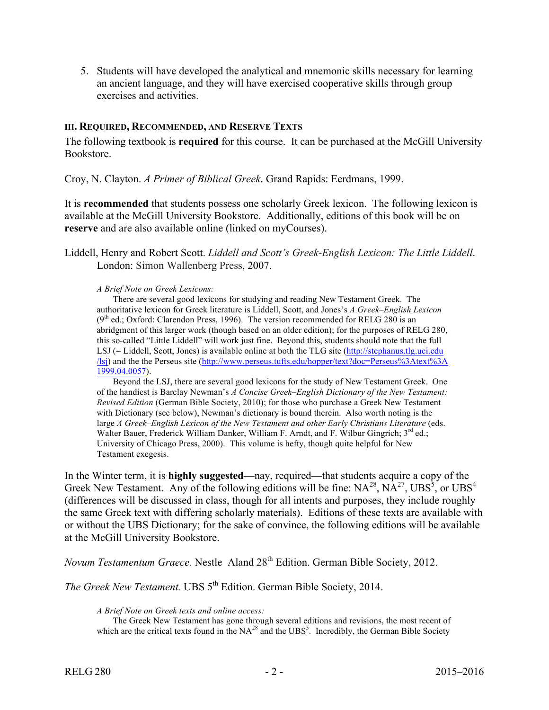5. Students will have developed the analytical and mnemonic skills necessary for learning an ancient language, and they will have exercised cooperative skills through group exercises and activities.

#### **III. REQUIRED, RECOMMENDED, AND RESERVE TEXTS**

The following textbook is **required** for this course. It can be purchased at the McGill University Bookstore.

Croy, N. Clayton. *A Primer of Biblical Greek*. Grand Rapids: Eerdmans, 1999.

It is **recommended** that students possess one scholarly Greek lexicon. The following lexicon is available at the McGill University Bookstore. Additionally, editions of this book will be on **reserve** and are also available online (linked on myCourses).

Liddell, Henry and Robert Scott. *Liddell and Scott's Greek-English Lexicon: The Little Liddell*. London: Simon Wallenberg Press, 2007.

#### *A Brief Note on Greek Lexicons:*

There are several good lexicons for studying and reading New Testament Greek. The authoritative lexicon for Greek literature is Liddell, Scott, and Jones's *A Greek–English Lexicon*  $(9<sup>th</sup>$  ed.; Oxford: Clarendon Press, 1996). The version recommended for RELG 280 is an abridgment of this larger work (though based on an older edition); for the purposes of RELG 280, this so-called "Little Liddell" will work just fine. Beyond this, students should note that the full LSJ (= Liddell, Scott, Jones) is available online at both the TLG site (http://stephanus.tlg.uci.edu /lsj) and the the Perseus site (http://www.perseus.tufts.edu/hopper/text?doc=Perseus%3Atext%3A 1999.04.0057).

Beyond the LSJ, there are several good lexicons for the study of New Testament Greek. One of the handiest is Barclay Newman's *A Concise Greek–English Dictionary of the New Testament: Revised Edition* (German Bible Society, 2010); for those who purchase a Greek New Testament with Dictionary (see below), Newman's dictionary is bound therein. Also worth noting is the large *A Greek–English Lexicon of the New Testament and other Early Christians Literature* (eds. Walter Bauer, Frederick William Danker, William F. Arndt, and F. Wilbur Gingrich;  $3^{rd}$  ed.; University of Chicago Press, 2000). This volume is hefty, though quite helpful for New Testament exegesis.

In the Winter term, it is **highly suggested**—nay, required—that students acquire a copy of the Greek New Testament. Any of the following editions will be fine:  $NA^{28}$ ,  $NA^{27}$ ,  $UBS^5$ , or  $UBS^4$ (differences will be discussed in class, though for all intents and purposes, they include roughly the same Greek text with differing scholarly materials). Editions of these texts are available with or without the UBS Dictionary; for the sake of convince, the following editions will be available at the McGill University Bookstore.

*Novum Testamentum Graece.* Nestle–Aland 28<sup>th</sup> Edition. German Bible Society, 2012.

*The Greek New Testament.* UBS 5<sup>th</sup> Edition. German Bible Society, 2014.

*A Brief Note on Greek texts and online access:*

The Greek New Testament has gone through several editions and revisions, the most recent of which are the critical texts found in the  $NA^{28}$  and the UBS<sup>5</sup>. Incredibly, the German Bible Society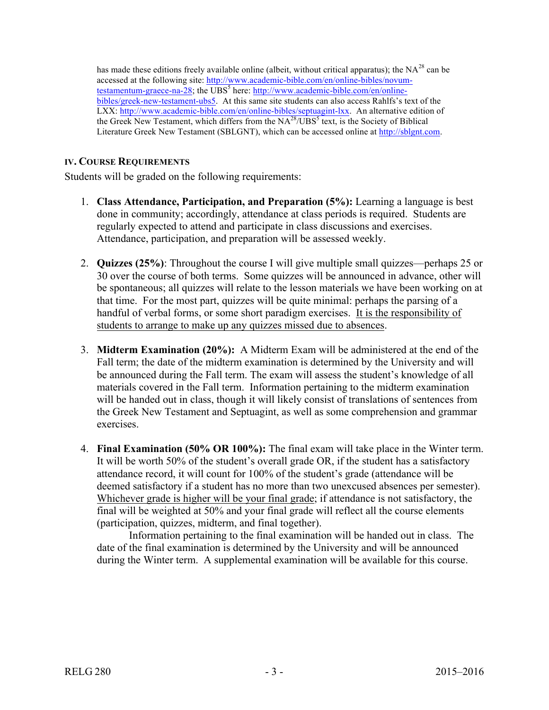has made these editions freely available online (albeit, without critical apparatus); the  $NA^{28}$  can be accessed at the following site: http://www.academic-bible.com/en/online-bibles/novumtestamentum-graece-na-28; the UBS<sup>5</sup> here: http://www.academic-bible.com/en/onlinebibles/greek-new-testament-ubs5. At this same site students can also access Rahlfs's text of the LXX: http://www.academic-bible.com/en/online-bibles/septuagint-lxx. An alternative edition of the Greek New Testament, which differs from the NA<sup>28</sup>/UBS<sup>5</sup> text, is the Society of Biblical Literature Greek New Testament (SBLGNT), which can be accessed online at http://sblgnt.com.

## **IV. COURSE REQUIREMENTS**

Students will be graded on the following requirements:

- 1. **Class Attendance, Participation, and Preparation (5%):** Learning a language is best done in community; accordingly, attendance at class periods is required. Students are regularly expected to attend and participate in class discussions and exercises. Attendance, participation, and preparation will be assessed weekly.
- 2. **Quizzes (25%)**: Throughout the course I will give multiple small quizzes—perhaps 25 or 30 over the course of both terms. Some quizzes will be announced in advance, other will be spontaneous; all quizzes will relate to the lesson materials we have been working on at that time. For the most part, quizzes will be quite minimal: perhaps the parsing of a handful of verbal forms, or some short paradigm exercises. It is the responsibility of students to arrange to make up any quizzes missed due to absences.
- 3. **Midterm Examination (20%):** A Midterm Exam will be administered at the end of the Fall term; the date of the midterm examination is determined by the University and will be announced during the Fall term. The exam will assess the student's knowledge of all materials covered in the Fall term. Information pertaining to the midterm examination will be handed out in class, though it will likely consist of translations of sentences from the Greek New Testament and Septuagint, as well as some comprehension and grammar exercises.
- 4. **Final Examination (50% OR 100%):** The final exam will take place in the Winter term. It will be worth 50% of the student's overall grade OR, if the student has a satisfactory attendance record, it will count for 100% of the student's grade (attendance will be deemed satisfactory if a student has no more than two unexcused absences per semester). Whichever grade is higher will be your final grade; if attendance is not satisfactory, the final will be weighted at 50% and your final grade will reflect all the course elements (participation, quizzes, midterm, and final together).

Information pertaining to the final examination will be handed out in class. The date of the final examination is determined by the University and will be announced during the Winter term. A supplemental examination will be available for this course.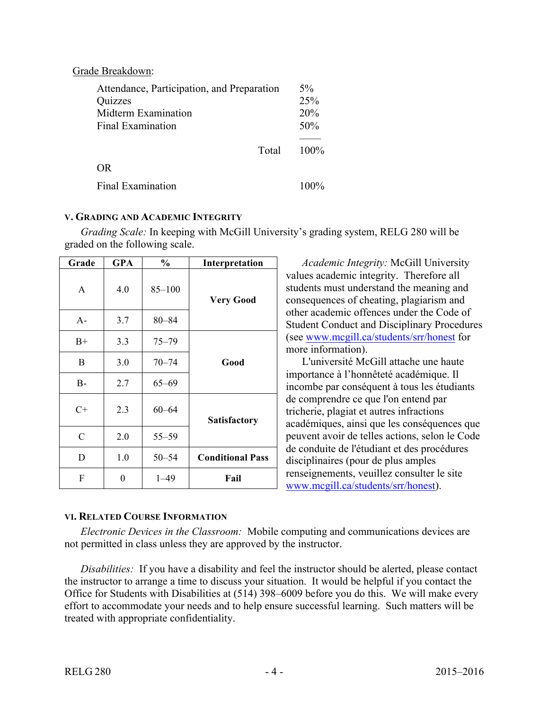| Grade Breakdown:                                                                                         |                            |
|----------------------------------------------------------------------------------------------------------|----------------------------|
| Attendance, Participation, and Preparation<br>Quizzes<br>Midterm Examination<br><b>Final Examination</b> | $5\%$<br>25%<br>20%<br>50% |
| Total                                                                                                    | $100\%$                    |
| OR.                                                                                                      |                            |
| <b>Final Examination</b>                                                                                 | $100\%$                    |

### **V. GRADING AND ACADEMIC INTEGRITY**

*Grading Scale:* In keeping with McGill University's grading system, RELG 280 will be graded on the following scale.

| Grade         | <b>GPA</b> | $\frac{0}{0}$ | Interpretation          |
|---------------|------------|---------------|-------------------------|
| A             | 4.0        | $85 - 100$    | <b>Very Good</b>        |
| $A -$         | 3.7        | $80 - 84$     |                         |
| $B+$          | 3.3        | $75 - 79$     |                         |
| B             | 3.0        | $70 - 74$     | Good                    |
| $B-$          | 2.7        | $65 - 69$     |                         |
| $C+$          | 2.3        | $60 - 64$     | <b>Satisfactory</b>     |
| $\mathcal{C}$ | 2.0        | $55 - 59$     |                         |
| D             | 1.0        | $50 - 54$     | <b>Conditional Pass</b> |
| F             | 0          | $1 - 49$      | Fail                    |

## **VI. RELATED COURSE INFORMATION**

disciplinaires (pour de plus amples renseignements, veuillez consulter le site www.mcgill.ca/students/srr/honest).

more information).

*Academic Integrity:* McGill University values academic integrity. Therefore all students must understand the meaning and consequences of cheating, plagiarism and other academic offences under the Code of Student Conduct and Disciplinary Procedures (see www.mcgill.ca/students/srr/honest for

L'université McGill attache une haute importance à l'honnêteté académique. Il incombe par conséquent à tous les étudiants

académiques, ainsi que les conséquences que peuvent avoir de telles actions, selon le Code de conduite de l'étudiant et des procédures

de comprendre ce que l'on entend par tricherie, plagiat et autres infractions

*Electronic Devices in the Classroom:* Mobile computing and communications devices are not permitted in class unless they are approved by the instructor.

*Disabilities:* If you have a disability and feel the instructor should be alerted, please contact the instructor to arrange a time to discuss your situation. It would be helpful if you contact the Office for Students with Disabilities at (514) 398–6009 before you do this. We will make every effort to accommodate your needs and to help ensure successful learning. Such matters will be treated with appropriate confidentiality.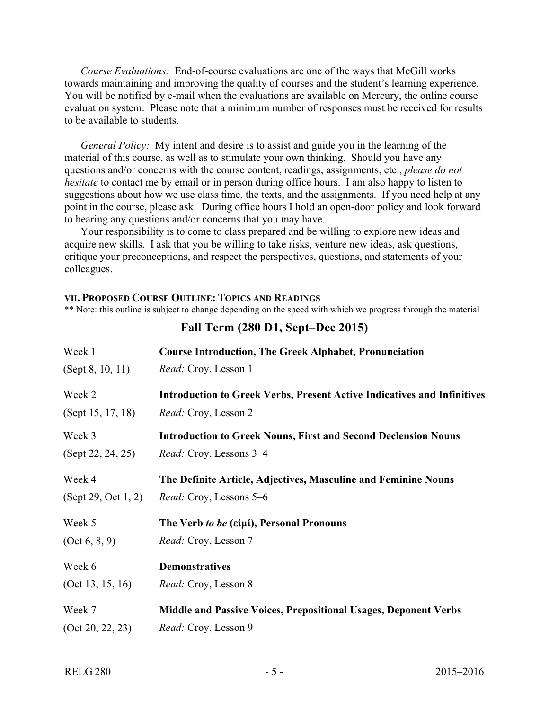*Course Evaluations:* End-of-course evaluations are one of the ways that McGill works towards maintaining and improving the quality of courses and the student's learning experience. You will be notified by e-mail when the evaluations are available on Mercury, the online course evaluation system. Please note that a minimum number of responses must be received for results to be available to students.

*General Policy:* My intent and desire is to assist and guide you in the learning of the material of this course, as well as to stimulate your own thinking. Should you have any questions and/or concerns with the course content, readings, assignments, etc., *please do not hesitate* to contact me by email or in person during office hours. I am also happy to listen to suggestions about how we use class time, the texts, and the assignments. If you need help at any point in the course, please ask. During office hours I hold an open-door policy and look forward to hearing any questions and/or concerns that you may have.

Your responsibility is to come to class prepared and be willing to explore new ideas and acquire new skills. I ask that you be willing to take risks, venture new ideas, ask questions, critique your preconceptions, and respect the perspectives, questions, and statements of your colleagues.

#### **VII. PROPOSED COURSE OUTLINE: TOPICS AND READINGS**

\*\* Note: this outline is subject to change depending on the speed with which we progress through the material

| Week 1              | <b>Course Introduction, The Greek Alphabet, Pronunciation</b>                  |
|---------------------|--------------------------------------------------------------------------------|
| (Sept 8, 10, 11)    | <i>Read:</i> Croy, Lesson 1                                                    |
| Week 2              | <b>Introduction to Greek Verbs, Present Active Indicatives and Infinitives</b> |
| (Sept 15, 17, 18)   | <i>Read:</i> Croy, Lesson 2                                                    |
| Week 3              | <b>Introduction to Greek Nouns, First and Second Declension Nouns</b>          |
| (Sept 22, 24, 25)   | <i>Read:</i> Croy, Lessons 3–4                                                 |
| Week 4              | The Definite Article, Adjectives, Masculine and Feminine Nouns                 |
| (Sept 29, Oct 1, 2) | <i>Read:</i> Croy, Lessons 5–6                                                 |
| Week 5              | The Verb to be (εἰμί), Personal Pronouns                                       |
| (Oct 6, 8, 9)       | <i>Read:</i> Croy, Lesson 7                                                    |
| Week 6              | <b>Demonstratives</b>                                                          |
| (Oct 13, 15, 16)    | <i>Read:</i> Croy, Lesson 8                                                    |
| Week 7              | <b>Middle and Passive Voices, Prepositional Usages, Deponent Verbs</b>         |
| (Oct 20, 22, 23)    | Read: Croy, Lesson 9                                                           |

## **Fall Term (280 D1, Sept–Dec 2015)**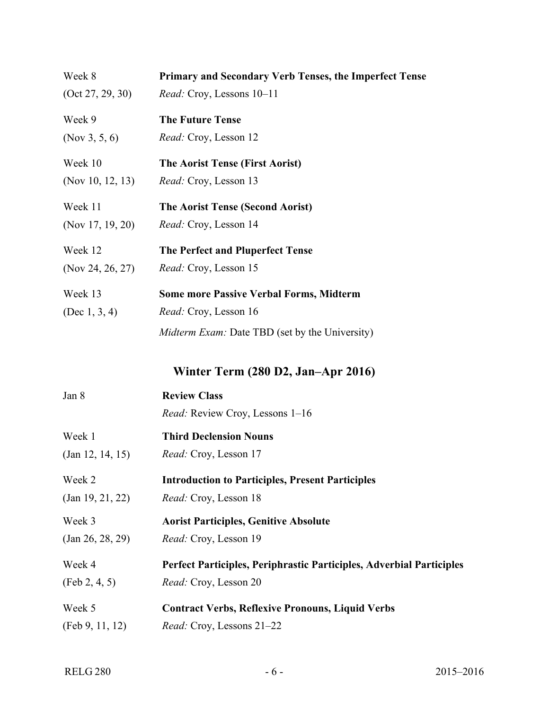| Week 8           | <b>Primary and Secondary Verb Tenses, the Imperfect Tense</b> |
|------------------|---------------------------------------------------------------|
| (Oct 27, 29, 30) | <i>Read:</i> Croy, Lessons 10–11                              |
| Week 9           | <b>The Future Tense</b>                                       |
| (Nov 3, 5, 6)    | <i>Read:</i> Croy, Lesson 12                                  |
| Week 10          | The Aorist Tense (First Aorist)                               |
| (Nov 10, 12, 13) | <i>Read:</i> Croy, Lesson 13                                  |
| Week 11          | <b>The Aorist Tense (Second Aorist)</b>                       |
| (Nov 17, 19, 20) | <i>Read:</i> Croy, Lesson 14                                  |
| Week 12          | The Perfect and Pluperfect Tense                              |
| (Nov 24, 26, 27) | <i>Read:</i> Croy, Lesson 15                                  |
| Week 13          | <b>Some more Passive Verbal Forms, Midterm</b>                |
| (Dec 1, 3, 4)    | <i>Read:</i> Croy, Lesson 16                                  |
|                  | <i>Midterm Exam:</i> Date TBD (set by the University)         |

**Winter Term (280 D2, Jan–Apr 2016)**

| Jan 8            | <b>Review Class</b>                                                  |
|------------------|----------------------------------------------------------------------|
|                  | Read: Review Croy, Lessons 1-16                                      |
| Week 1           | <b>Third Declension Nouns</b>                                        |
| (Jan 12, 14, 15) | <i>Read:</i> Croy, Lesson 17                                         |
| Week 2           | <b>Introduction to Participles, Present Participles</b>              |
| (Jan 19, 21, 22) | <i>Read:</i> Croy, Lesson 18                                         |
| Week 3           | <b>Aorist Participles, Genitive Absolute</b>                         |
| (Jan 26, 28, 29) | <i>Read:</i> Croy, Lesson 19                                         |
| Week 4           | Perfect Participles, Periphrastic Participles, Adverbial Participles |
| (Feb 2, 4, 5)    | Read: Croy, Lesson 20                                                |
| Week 5           | <b>Contract Verbs, Reflexive Pronouns, Liquid Verbs</b>              |
| (Feb 9, 11, 12)  | <i>Read:</i> Croy, Lessons 21–22                                     |